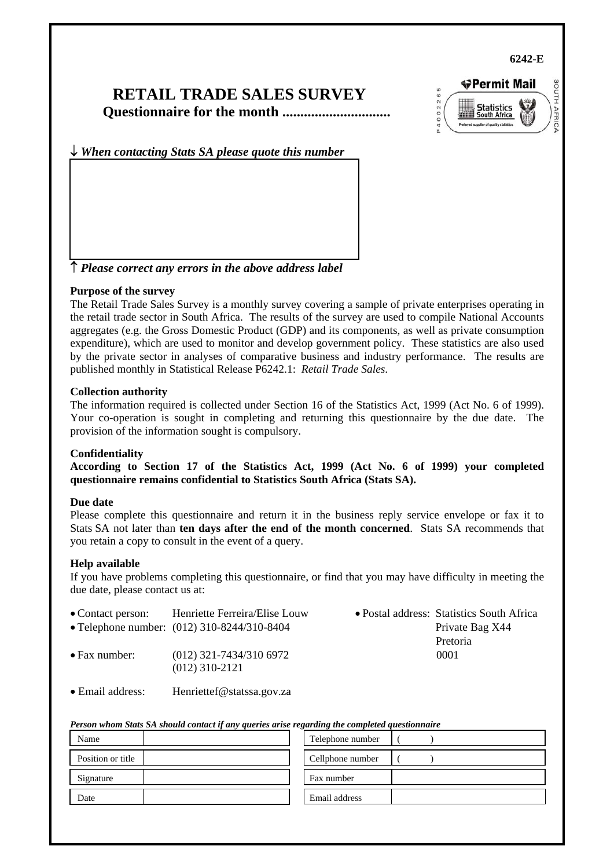**6242-E** 

## **RETAIL TRADE SALES SURVEY Questionnaire for the month ..............................**



↓ *When contacting Stats SA please quote this number*

↑ *Please correct any errors in the above address label*

#### **Purpose of the survey**

The Retail Trade Sales Survey is a monthly survey covering a sample of private enterprises operating in the retail trade sector in South Africa. The results of the survey are used to compile National Accounts aggregates (e.g. the Gross Domestic Product (GDP) and its components, as well as private consumption expenditure), which are used to monitor and develop government policy. These statistics are also used by the private sector in analyses of comparative business and industry performance. The results are published monthly in Statistical Release P6242.1: *Retail Trade Sales*.

#### **Collection authority**

The information required is collected under Section 16 of the Statistics Act, 1999 (Act No. 6 of 1999). Your co-operation is sought in completing and returning this questionnaire by the due date. The provision of the information sought is compulsory.

#### **Confidentiality**

**According to Section 17 of the Statistics Act, 1999 (Act No. 6 of 1999) your completed questionnaire remains confidential to Statistics South Africa (Stats SA).** 

#### **Due date**

Please complete this questionnaire and return it in the business reply service envelope or fax it to Stats SA not later than **ten days after the end of the month concerned**. Stats SA recommends that you retain a copy to consult in the event of a query.

#### **Help available**

If you have problems completing this questionnaire, or find that you may have difficulty in meeting the due date, please contact us at:

| • Contact person:     | Henriette Ferreira/Elise Louw                 | • Postal address: Statistics South Africa |
|-----------------------|-----------------------------------------------|-------------------------------------------|
|                       | • Telephone number: (012) 310-8244/310-8404   | Private Bag X44                           |
|                       |                                               | Pretoria                                  |
| $\bullet$ Fax number: | $(012)$ 321-7434/310 6972<br>$(012)$ 310-2121 | 0001                                      |

• Email address: Henriettef@statssa.gov.za

| Person whom Stats SA should contact if any queries arise regarding the completed questionnaire |  |  |
|------------------------------------------------------------------------------------------------|--|--|
|                                                                                                |  |  |

| Name              | Telephone number |
|-------------------|------------------|
| Position or title | Cellphone number |
| Signature         | Fax number       |
| Date              | Email address    |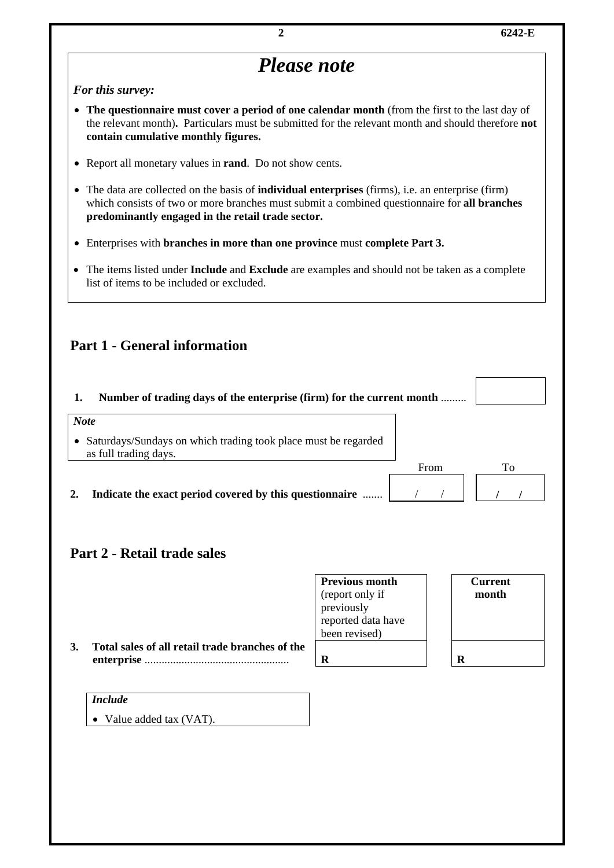

|                                                 | <b>Previous month</b>            | <b>Current</b> |
|-------------------------------------------------|----------------------------------|----------------|
|                                                 | (report only if                  | month          |
|                                                 |                                  |                |
|                                                 | previously<br>reported data have |                |
|                                                 | been revised)                    |                |
| Total sales of all retail trade branches of the |                                  |                |
|                                                 | R                                | R              |
|                                                 |                                  |                |

| <i>Include</i>           |
|--------------------------|
| • Value added tax (VAT). |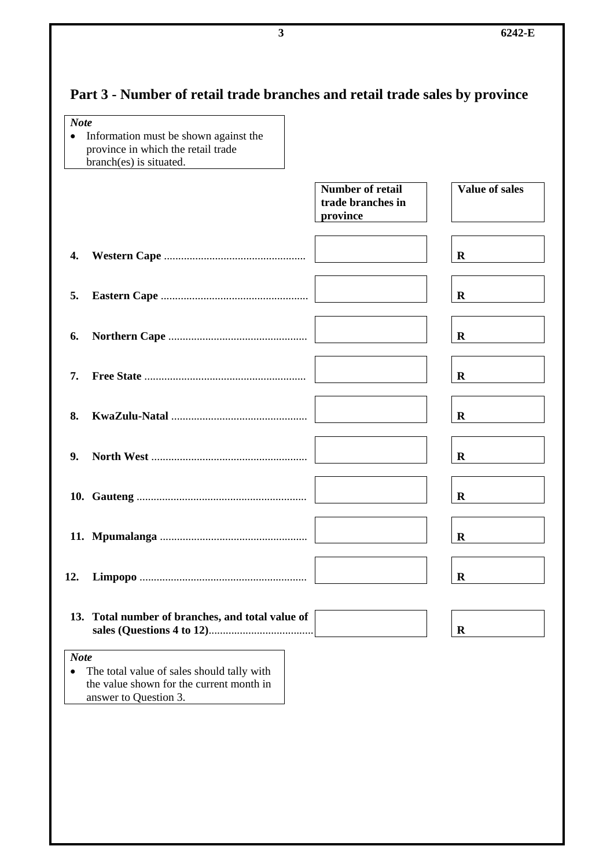# **Part 3 - Number of retail trade branches and retail trade sales by province**

| <b>Note</b> |                                                                                                                 |                                                          |                |
|-------------|-----------------------------------------------------------------------------------------------------------------|----------------------------------------------------------|----------------|
| $\bullet$   | Information must be shown against the<br>province in which the retail trade<br>branch(es) is situated.          |                                                          |                |
|             |                                                                                                                 | <b>Number of retail</b><br>trade branches in<br>province | Value of sales |
| 4.          |                                                                                                                 |                                                          | R              |
| 5.          |                                                                                                                 |                                                          | R              |
| 6.          |                                                                                                                 |                                                          | R              |
| 7.          |                                                                                                                 |                                                          | R              |
| 8.          |                                                                                                                 |                                                          | R              |
| 9.          |                                                                                                                 |                                                          | R              |
|             |                                                                                                                 |                                                          | $\bf R$        |
|             |                                                                                                                 |                                                          | R              |
| 12.         |                                                                                                                 |                                                          | $\mathbf R$    |
|             | 13. Total number of branches, and total value of                                                                |                                                          | $\bf R$        |
| <b>Note</b> |                                                                                                                 |                                                          |                |
| ٠           | The total value of sales should tally with<br>the value shown for the current month in<br>answer to Question 3. |                                                          |                |